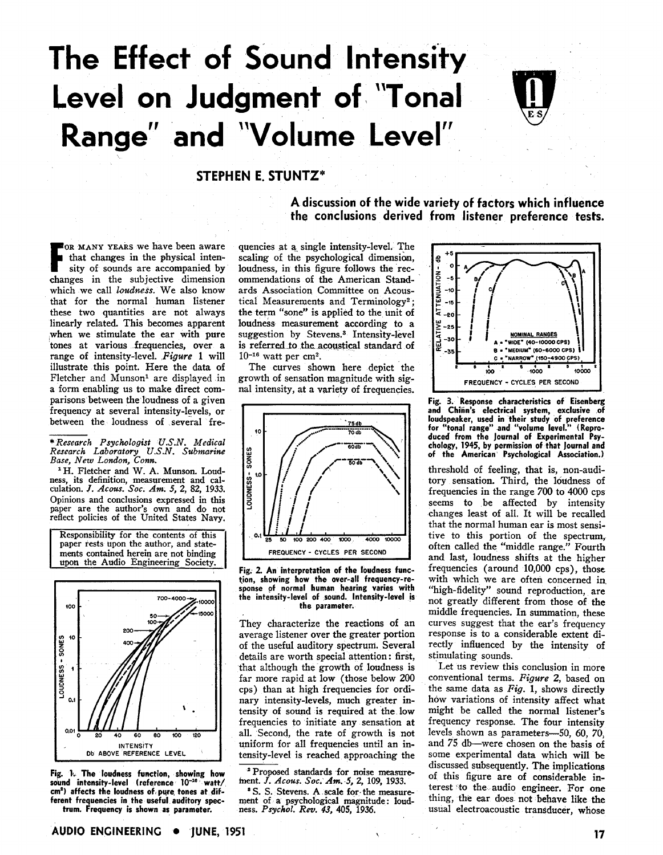# **The Effect of Sound Intensity Level on Judgment of "Tonal Range" and "Volume Level"**



## **STEPHEN E. STUNTZ"**

FOR MANY YEARS we have been aware<br>that changes in the physical intensity of sounds are accompanied by<br>the subjective dimension that changes in the physical intensity of sounds are accompanied by changes in the subjective dimension which we call *loudfiess.* We also know that for the normal human listener these two quantities are not always linearly related. This becomes apparent when we stimulate the ear with pure tones at various frequencies, over a range of intensity-level. *Figure* 1 will illustrate this point. Here the data of Fletcher and Munson<sup>1</sup> are displayed in a form enabling us to make direct comparisons between the loudness of a given frequency at several intensity-levels, or between the loudness of several fre-

*\*Research Psychologist U.S.N. Medical Research Laboratory* **U.S.N.** *Submarine Base, New London, Corn.* 

'H. Fletcher and W. **A.** Munson. Loudness, its definition, measurement and cal-culation. J. *Acous. Soc. Am. 5, 2,* **82,** 1933. Opinions and conclusions expressed in this paper are the author's own and do not reflect policies of the United States Navy.

Responsibility for the contents of this<br>paper rests upon the author, and statements contained herein are not binding upon the Audio Engineering Society.



Fig. 1. The loudness function, showing how sound intensity-level (reference 10<sup>-16</sup> watt/ **cmP) affects the loudness of pyre. tones at different frequencies in the useful auditory spectrum. Frequency is shown as parameter.** 

**A discussion of the wide variety of factors which influence the conclusions derived from listener preference tests.** 

quencies at **a\_** single intensity-level. The scaling of the psychological dimension, loudness, in this figure follows the recommendations of the American Standards Association Committee on Acoustical Measurements and Terminology2; the term "sone" is applied to the unit of loudness measurement according to a suggestion by Stevens.<sup>3</sup> Intensity-level is referred to the acoustical standard of  $10^{-16}$  watt per cm<sup>2</sup>.

The curves shown here depict the growth of sensation magnitude with signal intensity, at a variety of frequencies.



**Fig. 2. An interpretation of the loudness function, showing how the over-all frequency-response of normal human hearing varies with the intensity-level of sound. Intensity-level is the parameter.** 

They characterize the reactions of an average listener over the greater portion of the useful auditory spectruni. Several details are worth special attention: first, that although the growth of loudness is far more rapid at low (those below 200 cps) than at high frequencies for ordinary intensity-levels, much greater intensity of sound is required at the low frequencies to initiate any sensation at all. Second, the rate of growth is not uniform for all frequencies until an intensity-level is reached approaching the

**<sup>a</sup>**Proposed standards for noise measure hent. J. *Acous. Soc, Am. 5, 2,* 109, 1933.

S. S. Stevens. **A** scale for. the measurement of a psychological magnitude: loudness. *Psychol. Rev.* 43, *405,* 1936.



**Fig. 3. Response characteristics of Eisenberg and Chinn's electrical system, exclusive of loudspeaker, used in their study of preference for "tonal range" and "volume level." (Reproduced from the Journal of Experimental Psychology, 1945, by permission of that Journal and of the American Psychological Association.)** 

threshold of feeling, that is, non-auditory sensation. Third, the loudness of frequencies in the range 700 to 4000 cps seems to be affected by intensity changes least of all. It will be recalled that the normal human ear is most sensitive to this portion of the spectrum, often called the "middle range." Fourth and last, loudness shifts at the higher frequencies (around  $10,000$  cps), those with which we are often concerned in "high-fidelity" sound reproduction, are not greatly different from those of the middle frequencies. In summation, these curves suggest that the ear's frequency response is to a considerable extent directly influenced by the intensity of stimulating sounds.

Let us review this conclusion in more conventional terms. *Figure* 2, based on the same data as *Fig.* 1, shows directly how variations of intensity affect what might be called the normal listener's frequency response. The four intensity levels shown as parameters-50, 60, 70, and 75 db--were chosen on the basis of some experimental data which will be discussed subsequently. The implications of this figure are of considerable interest to the audio engineer. For one thing, the ear does not behave like the usual electroacoustic transducer, whose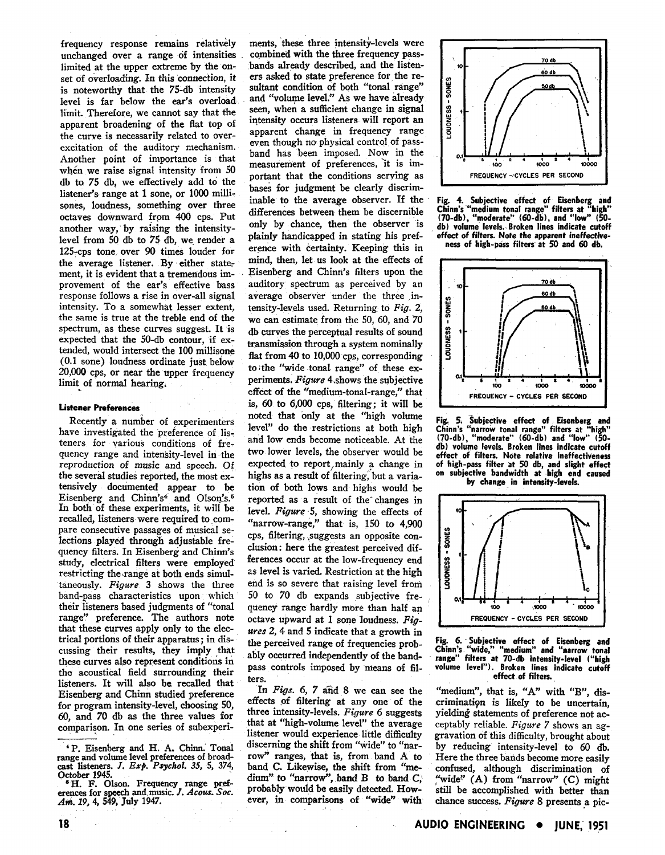frequency response remains relatively unchanged over a range of intensities limited at the upper extreme by the onset of overloading. In this connection, it is noteworthy that the 75-db intensity level is far below the ear's overload limit. Therefore, we cannot say that the apparent broadening of the flat top of the curve is necessarily related to overexcitation of the auditory mechanism. Another point of importance is that when we raise signal intensity from 50 db to 75 db, we effectively add to the listener's range at 1 sone, or 1000 millisones, loudness, something over three octaves downward from 400 cps. Put another way,'by raising the intensitylevel from 50 db to 75 db, we render a 125-cps tone over 90 times louder for the average listener. By either statement, it is evident that a tremendous improvement of the ear's effective bass response follows a rise in over-all signal intensity. To a somewhat lesser extent, the same is true at the treble end of the spectrum, as these curves suggest. It is expected that the 50-db contour, if extended, would intersect the 100 millisone (0.1 sone) loudness ordinate just below 20,000 cps, or near the upper frequency limit of normal hearing.

### **Listener Preferences**

Recently a number of experimenters have investigated the preference of listeners for various conditions of frequency range and intensity-level in the reproduction of music and speech. Of the several studies reported, the most extensively documented appear to be Eisenberg and Chinn's<sup>4</sup> and Olson's.<sup>5</sup> In both of these experiments, it will be recalled, listeners were required to compare consecutive passages of musical selections played through adjustable frequency filters. In Eisenberg and Chinn's study, electrical filters were employed restricting the range at both ends simultaneously. Figure 3 shows the three band-pass characteristics upon which their listeners based judgments of "tonal range" preference. The authors note that these curves apply only to the electrical portions of their apparatus; in discussing their results, they imply that these curves also represent conditions in the acoustical field surrounding their listeners. It will also be recalled that Eisenberg and Chinn studied preference for program intensity-level, choosing 50, 60, and 70 db as the three values for comparison. In one series of subexperi-

ments, these three intensity-levels were combined with the three frequency passbands already described, and the listeners asked to state preference for the resultant condition of both "tonal range" and "volume level." As we have already seen, when a sufficient change in signal intensity occurs listeners will report an apparent change in frequency range even though no physical control of passband has 'been imposed. Now in the measurement of preferences, 'it is important that the conditions serving as bases for judgment be clearly discrim-<br>inable to the average observer. If the differences between them be discernible **Chinn's "medium tonal range" filters at "high"** (70-db), "moderate" (60-db), and "low" (50only by chance, then the observer is **db)** volume levels. Broken lines indicate cutoff <br>plainly handicapped in stating his pref-<br>effect of filters. Note the apparent ineffectiveerence with certainty. Keeping this in mind, then, let us look at the effects of Eisenberg and Chinn's filters upon the auditory spectrum as perceived by an average observer under the three intensity-levels used. Returning to Fig. 2, we can estimate from the 50, 60, and 70 db curves the perceptual results of sound transmission through a system nominally flat from 40 to 10,000 cps, corresponding to the "wide tonal range" of these  $ex$ periments. Figure 4.shows the subjective effect of the "medium-tonal-range," that is, 60 to 6,000 cps, filtering: it will be noted that only at the "high volume<br>level" do the restrictions at both high Chinn's "narrow tonal range" filters at "high" and low ends become noticeable. At the two lower levels, the observer would be<br>effect of filters. Note relative ineffectiveness<br>expected to report mainly a change in of high-pass filter at 50 db, and slight effect expected to report, mainly a change in of high-pass filter at 50 db, and slight effect expected to report, mainly a change in of high-pass filter at 50 db, and slight effect highs as a result of filtering, but a varia-<br>hig highs as a result of filtering, but a varia-<br> **by change in intensity-levels.**<br> **by change in intensity-levels.** reported as a result of the changes in level. Figure 5, showing the effects of "narrow-range," that is, 150 to 4,900 cps, filtering, suggests an opposite conclusion : here the greatest perceived differences occur at the low-frequency end as level is varied. Restriction at the high end is so severe that raising level from 50 to 70 db expands subjective frequency range hardly more than half an octave upward at 1 sone loudness. Figures 2,4 and 5 indicate that a growth in the perceived range of frequencies prob- **Fig. 6. Subjective effect of Eisenberg and**  ably occurred independently of the band-<br>pass controls imposed by means of fil-<br>volume level"). Broken lines indicate cutoff ters.<br>
In Figs. 6, 7 and 8 we can see the "medium", that is, "A" w

In Figs. 6, 7 and 8 we can see the "medium", that is, "A" with "B", dis-<br>effects of filtering at any one of the crimination is likely to be uncertain.



Fig. 4. Subjective effect of Eisenberg and<br>Chinn's "medium tonal range" filters at "high" effect of filters. Note the apparent ineffective-<br>ness of high-pass filters at 50 and 60 db.



level" do the restrictions at both high **Chinn's "narrow tonal range" filters at ''hirrh" db) volume levels. Broken lines indicate cutoff** 



volume level"). Broken lines indicate cutoff

effects of filtering at any one of the crimination is likely to be uncertain, three intensity-levels. *Figure* 6 suggests yielding statements of preference not acthree intensity-levels. Figure 6 suggests yielding statements of preference not actionate at "high-volume level" the average ceptably reliable. Figure 7 shows an agthat at "high-volume level" the average ceptably reliable. Figure 7 shows an ag-<br>listener would experience little difficulty gravation of this difficulty, brought about<br>discerning the shift from "wide" to "nar-<br>by reducin discerning the shift from "wide" to "nar-<br>reducing intensity-level to 60 db.<br>row" ranges, that is, from band A to Here the three bands become more easily row" ranges, that is, from band A to Here the three batids become more easily band C. Likewise, the shift from "me- confused, although discrimination of dium" to "narrow", band B to band C; "wide" (A) from "narrow" (C) might probably would be easily detected. How- still be accomplished with better than ever, in comparisons of "wide" with chance success. Figure 8 presents a pic-

**<sup>&#</sup>x27;P.** Eisenberg and H. A. Chinn.' Tonal range and volume level preferences of broadcast listeners. J. *Ex@. Psychol. 35, 5,* 374, October 1945.

H. F. Olson. Frequency range preferences for speech and music. J. *Acow. Soc. AM.* 19,4, 549, July 1947.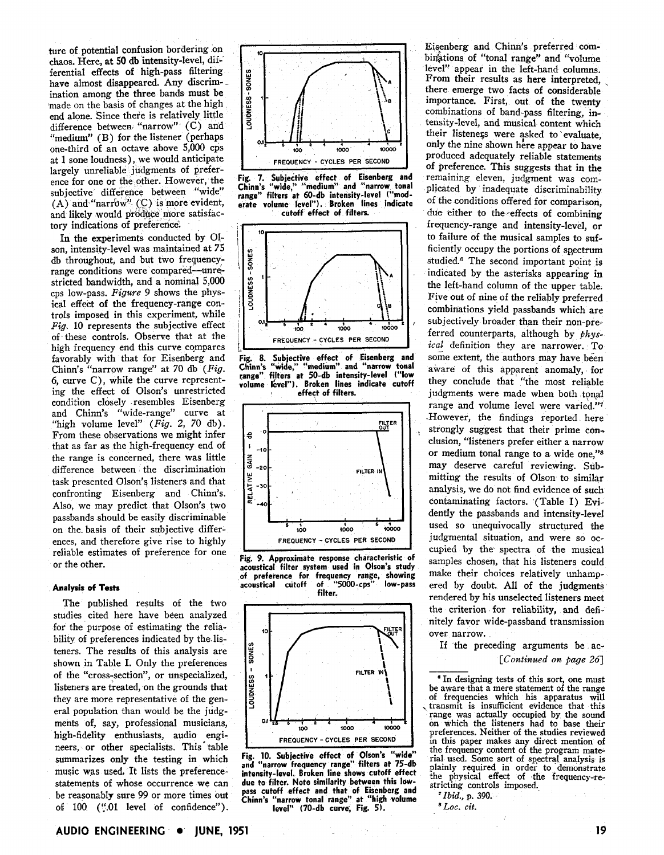tory indications of preference. ture of potential confusion bordering on chaos. Here, at 50 db intensity-level, dif-' ferential effects of high-pass filtering have almost disappeared. Any discrimination among the three bands must be made on the basis of changes at the high end alone. Since there is relatively little difference between "narrow" (C) and "medium" (B) for the listener (perhaps one-third of an octave above 5,000 cps at 1 sone loudness), we would anticipate largely unreliable judgments of preference for one or the other. However, the **Fig. 7. Subjective effect of Eisenberg and**<br>ence for one or the other. However, the **Fig. 7. Subjective effect of Eisenberg and** and likely would produce more satisfac-

In the experiments conducted by 01 son, intensity-level was maintained at 75 db throughout, and but two frequencyrange conditions were compared-unrestricted bandwidth, and a nominal 5,000 cps low-pass. Figure 9 shows the physical effect of the frequency-range controls imposed in this experiment, while Fig. 10 represents the subjective effect of these controls. Observe that at the high frequency end this curve compares favorably with that for Eisenberg and Chinn's "narrow range" at 70 db  $(Fig.$ *6,* curve C), while the curve representing the effect of Olson's unrestricted condition closely .resembles Eisenberg and Chinn's "wide-range" curve at "high volume level" (Fig. **2,** 70 db). From these observations we might infer that as far as the high-frequency end of the range is concerned, there was little difference between the discrimination task presented Olson's listeners and that confronting Eisenberg and Chinn's. Also, we may predict that Olson's two passbands should be easily discriminable on the. basis of their subjective differences, and therefore give rise to highly reliable estimates of preference for one or the other.

## **Analysis of Tests**

The published results of the two studies cited here have been analyzed for the purpose of estimating the reliability of preferences indicated by the.listeners. The results of this analysis are shown in Table I. Only the preferences of the "cross-section", or unspecialized, listeners are treated, on the grounds that they are more representative of the general population than would be the judgments of, say, professional musicians, high-fidelity enthusiasts, audio engineers, or other specialists. This table summarizes only the testing in which music was used. It lists the preferencestatements of whose occurrence we can be reasonably sure 99 or more times out of 100 ('f.01 level of confidence").















**Fig. 10. Subjective effect of Olson's "wide" and "narrow frequency range" filters at 75-db intensity-level. Broken line shows cutoff effect due to filter. Note similarity between this lowpass cutoff effect and that of Eisenberg and Chinn's "narrow tonal range" at "high volume level" (70-db curve, Fig. 5).** 

Eisenberg and Chinn's preferred combinations of "tonal range" and "volume level" appear in the left-hand columns.<br>From their results as here interpreted, there emerge two facts of considerable importance. First, out of the twenty combinations of band-pass filtering, intensity-level, and musical content which their listeners were asked to evaluate. only the nine shown here appear to have produced adequately reliable statements of preference. This suggests that in the remaining eleven, judgment was complicated by inadequate discriminability of the conditions offered for comparison, due either to the effects of combining frequency-range and intensity-level, or to failure of the musical samples to sufficiently occupy the portions of spectrum studied.<sup>6</sup> The second important point is indicated by the asterisks appearing in the left-hand column of the upper table. Five out of nine of the reliably preferred combinations yield passbands which are subjectively broader than their non-preferred counterparts, although by  $phys$ ical definition they are narrower. To some extent, the authors may have been aware of this apparent anomaly, for they conclude that "the most reliable judgments were made when both tonal range and volume level were varied."7 .However, the findings reported here strongly suggest that their prime conclusion, "listeners prefer either a narrow or medium tonal range to a wide one,"s may deserve careful reviewing. Submitting the results of Olson to similar analysis, we do not find evidence of such contaminating factors. (Table I) Evidently the passbands and intensity-level used so unequivocally structured the judgmental situation, and were so occupied by the spectra of the musical samples chosen, that his listeners could make their choices relatively unhampered by doubt. All of the judgments rendered by his unselected listeners meet the criterion for reliability, and definitely favor wide-passband transmission over narrow.

If the preceding arguments be ac-[Continued on page 26]

<sup>6</sup> In designing tests of this sort, one must<br>be aware that a mere statement of the range of frequencies which his apparatus will transmit is insufficient evidence that this range was actually occupied by the sound on which the listeners had to base their preferences. Neither of the studies reviewed in this paper makes any direct mention of the frequency content of the program material used. Some sort of spectral analysis is plainly required in order to demonstrate the physical effect of the frequency-restricting controls imposed.<br>
<sup>7</sup>*Ibid.*, **p.** 390.

*LOC.* cit.